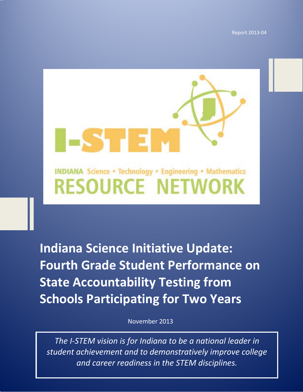Report 2013-04

## **INDIANA Science . Technology . Engineering . Mathematics RESOURCE NETWORK**

S 13

**Indiana Science Initiative Update: Fourth Grade Student Performance on State Accountability Testing from Schools Participating for Two Years**

November 2013

*The I-STEM vision is for Indiana to be a national leader in student achievement and to demonstratively improve college and career readiness in the STEM disciplines.*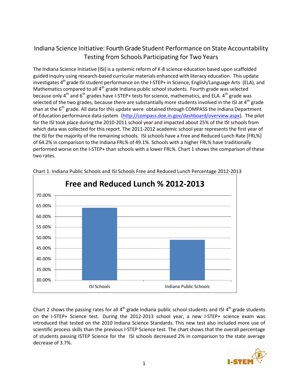## Indiana Science Initiative: FourthGrade Student Performance on State Accountability Testing from Schools Participating for Two Years

The Indiana Science Initiative (ISI) is a systemic reform of K-8 science education based upon scaffolded guided inquiry using research-based curricular materials enhanced with literacy education. This update investigates  $4<sup>th</sup>$  grade ISI student performance on the I-STEP+ in Science, English/Language Arts (ELA), and Mathematics compared to all 4<sup>th</sup> grade Indiana public school students. Fourth grade was selected because only  $4^{th}$  and  $6^{th}$  grades have I-STEP+ tests for science, mathematics, and ELA.  $4^{th}$  grade was selected of the two grades, because there are substantially more students involved in the ISI at  $4^{\text{th}}$  grade than at the  $6<sup>th</sup>$  grade. All data for this update were obtained through COMPASS the Indiana Department of Education performance data system [\(http://compass.doe.in.gov/dashboard/overview.aspx\)](http://compass.doe.in.gov/dashboard/overview.aspx). The pilot for the ISI took place during the 2010-2011 school year and impacted about 25% of the ISI schools from which data was collected for this report. The 2011-2012 academic school year represents the first year of the ISI for the majority of the remaining schools. ISI schools have a Free and Reduced Lunch Rate [FRL%] of 64.2% in comparison to the Indiana FRL% of 49.1%. Schools with a higher FRL% have traditionally performed worse on the I-STEP+ than schools with a lower FRL%. Chart 1 shows the comparison of these two rates.



Chart 1. Indiana Public Schools and ISI Schools Free and Reduced Lunch Percentage 2012-2013

Chart 2 shows the passing rates for all  $4<sup>th</sup>$  grade Indiana public school students and ISI  $4<sup>th</sup>$  grade students on the I-STEP+ Science test. During the 2012-2013 school year, a new I-STEP+ science exam was introduced that tested on the 2010 Indiana Science Standards. This new test also included more use of scientific process skills than the previous I-STEP Science test. The chart shows that the overall percentage of students passing ISTEP Science for the ISI schools decreased 2% in comparison to the state average decrease of 3.7%.

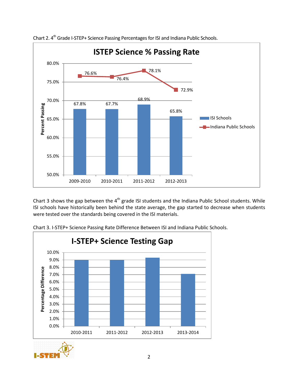

Chart 2. 4<sup>th</sup> Grade I-STEP+ Science Passing Percentages for ISI and Indiana Public Schools.

Chart 3 shows the gap between the  $4<sup>th</sup>$  grade ISI students and the Indiana Public School students. While ISI schools have historically been behind the state average, the gap started to decrease when students were tested over the standards being covered in the ISI materials.



Chart 3. I-STEP+ Science Passing Rate Difference Between ISI and Indiana Public Schools.

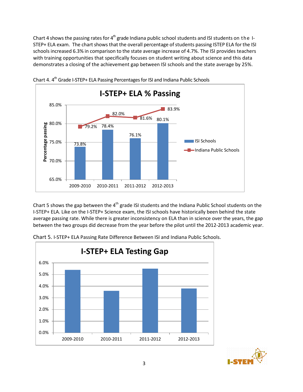Chart 4 shows the passing rates for  $4<sup>th</sup>$  grade Indiana public school students and ISI students on the I-STEP+ ELA exam. The chart shows that the overall percentage of students passing ISTEP ELA for the ISI schools increased 6.3% in comparison to the state average increase of 4.7%. The ISI provides teachers with training opportunities that specifically focuses on student writing about science and this data demonstrates a closing of the achievement gap between ISI schools and the state average by 25%.



Chart 4.  $4<sup>th</sup>$  Grade I-STEP+ ELA Passing Percentages for ISI and Indiana Public Schools

Chart 5 shows the gap between the 4<sup>th</sup> grade ISI students and the Indiana Public School students on the I-STEP+ ELA. Like on the I-STEP+ Science exam, the ISI schools have historically been behind the state average passing rate. While there is greater inconsistency on ELA than in science over the years, the gap between the two groups did decrease from the year before the pilot until the 2012-2013 academic year.



Chart 5. I-STEP+ ELA Passing Rate Difference Between ISI and Indiana Public Schools.

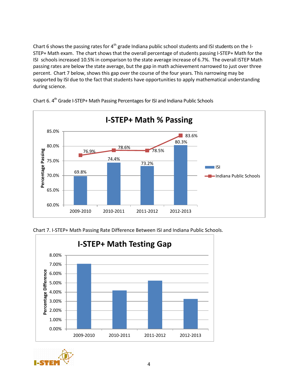Chart 6 shows the passing rates for  $4<sup>th</sup>$  grade Indiana public school students and ISI students on the I-STEP+ Math exam. The chart shows that the overall percentage of students passing I-STEP+ Math for the ISI schools increased 10.5% in comparison to the state average increase of 6.7%. The overall ISTEP Math passing rates are below the state average, but the gap in math achievement narrowed to just over three percent. Chart 7 below, shows this gap over the course of the four years. This narrowing may be supported by ISI due to the fact that students have opportunities to apply mathematical understanding during science.



Chart 6. 4<sup>th</sup> Grade I-STEP+ Math Passing Percentages for ISI and Indiana Public Schools





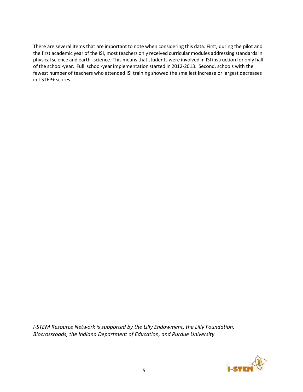There are several items that are important to note when considering this data. First, during the pilot and the first academic year of the ISI, most teachers only received curricular modules addressing standards in physical science and earth science. This means that students were involved in ISI instruction for only half of the school-year. Full school-year implementation started in 2012-2013. Second, schools with the fewest number of teachers who attended ISI training showed the smallest increase or largest decreases in I-STEP+ scores.

*I-STEM Resource Network is supported by the Lilly Endowment, the Lilly Foundation, Biocrossroads, the Indiana Department of Education, and Purdue University.*